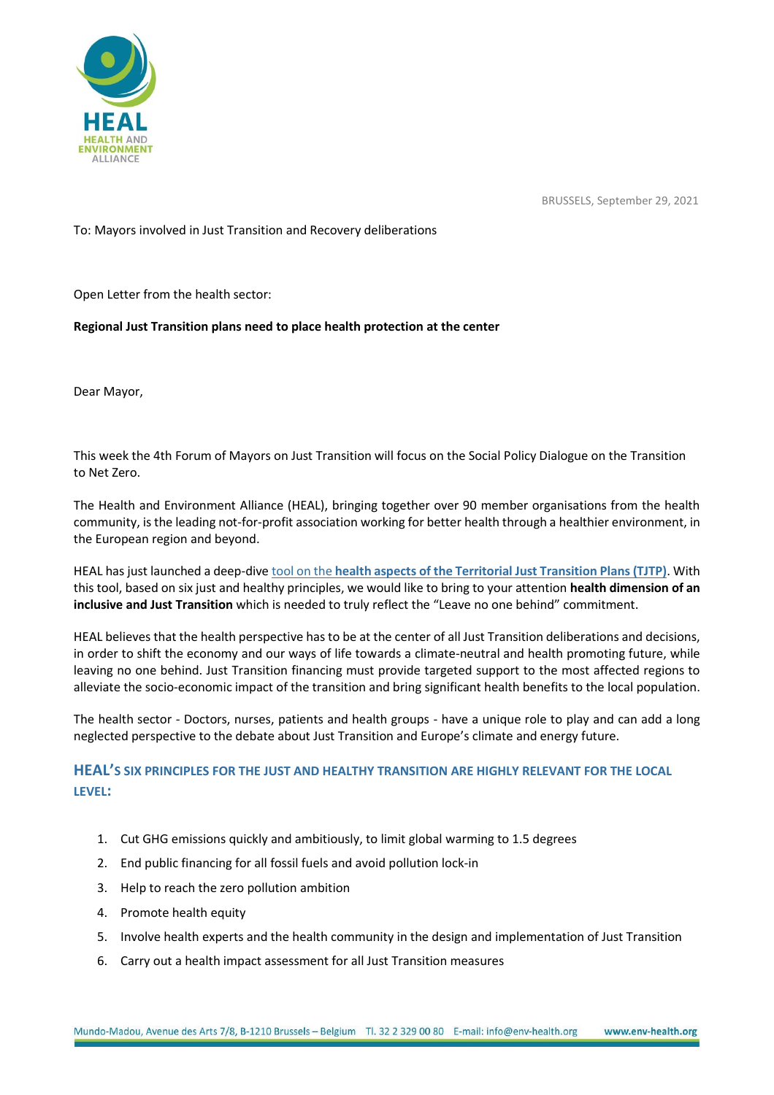

BRUSSELS, September 29, 2021

To: Mayors involved in Just Transition and Recovery deliberations

Open Letter from the health sector:

**Regional Just Transition plans need to place health protection at the center**

Dear Mayor,

This week the 4th Forum of Mayors on Just Transition will focus on the Social Policy Dialogue on the Transition to Net Zero.

The Health and Environment Alliance (HEAL), bringing together over 90 member organisations from the health community, is the leading not-for-profit association working for better health through a healthier environment, in the European region and beyond.

HEAL has just launched a deep-dive tool on the **[health aspects of the Territorial Just Transition Plans \(TJTP\)](https://www.env-health.org/wp-content/uploads/2021/09/HEAL-Just-transition_scorecard.pdf)**. With this tool, based on six just and healthy principles, we would like to bring to your attention **health dimension of an inclusive and Just Transition** which is needed to truly reflect the "Leave no one behind" commitment.

HEAL believes that the health perspective has to be at the center of all Just Transition deliberations and decisions, in order to shift the economy and our ways of life towards a climate-neutral and health promoting future, while leaving no one behind. Just Transition financing must provide targeted support to the most affected regions to alleviate the socio-economic impact of the transition and bring significant health benefits to the local population.

The health sector - Doctors, nurses, patients and health groups - have a unique role to play and can add a long neglected perspective to the debate about Just Transition and Europe's climate and energy future.

## **HEAL'S SIX PRINCIPLES FOR THE JUST AND HEALTHY TRANSITION ARE HIGHLY RELEVANT FOR THE LOCAL LEVEL:**

- 1. Cut GHG emissions quickly and ambitiously, to limit global warming to 1.5 degrees
- 2. End public financing for all fossil fuels and avoid pollution lock-in
- 3. Help to reach the zero pollution ambition
- 4. Promote health equity
- 5. Involve health experts and the health community in the design and implementation of Just Transition
- 6. Carry out a health impact assessment for all Just Transition measures